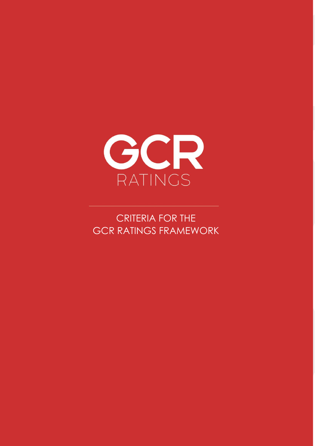

CCR RATINICS FRAMEWORK CRITERIA FOR THE GCR RATINGS FRAMEWORK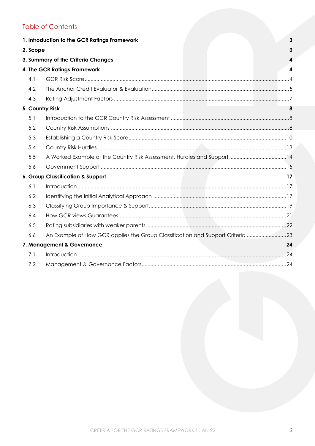# Table of Contents

|          | 1. Introduction to the GCR Ratings Framework                                   | $\mathbf{3}$ |
|----------|--------------------------------------------------------------------------------|--------------|
| 2. Scope |                                                                                | 3            |
|          | 3. Summary of the Criteria Changes                                             | 4            |
|          | 4. The GCR Ratings Framework                                                   | 4            |
| 4.1      |                                                                                |              |
| 4.2      |                                                                                |              |
| 4.3      |                                                                                |              |
|          | 5. Country Risk                                                                | 8            |
| 5.1      |                                                                                |              |
| 5.2      |                                                                                |              |
| 5.3      |                                                                                |              |
| 5.4      |                                                                                |              |
| 5.5      |                                                                                |              |
| 5.6      |                                                                                |              |
|          | 6. Group Classification & Support                                              | 17           |
| 6.1      |                                                                                |              |
| 6.2      |                                                                                |              |
| 6.3      |                                                                                |              |
| 6.4      |                                                                                |              |
| 6.5      |                                                                                |              |
| 6.6      | An Example of How GCR applies the Group Classification and Support Criteria 23 |              |
|          | 7. Management & Governance                                                     | 24           |
| 7.1      |                                                                                |              |
| 7.2      |                                                                                |              |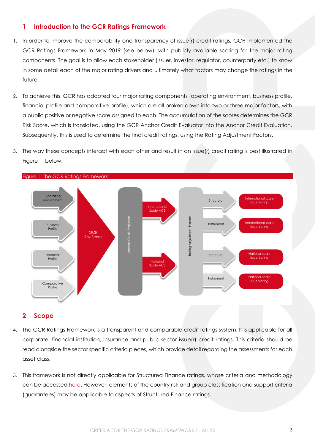## <span id="page-2-0"></span>**1 Introduction to the GCR Ratings Framework**

- 1. In order to improve the comparability and transparency of issue(r) credit ratings, GCR implemented the GCR Ratings Framework in May 2019 (see below), with publicly available scoring for the major rating components. The goal is to allow each stakeholder (issuer, investor, regulator, counterparty etc.) to know in some detail each of the major rating drivers and ultimately what factors may change the ratings in the future.
- 2. To achieve this, GCR has adopted four major rating components (operating environment, business profile, financial profile and comparative profile), which are all broken down into two or three major factors, with a public positive or negative score assigned to each. The accumulation of the scores determines the GCR Risk Score, which is translated, using the GCR Anchor Credit Evaluator into the Anchor Credit Evaluation. Subsequently, this is used to determine the final credit ratings, using the Rating Adjustment Factors.
- 3. The way these concepts interact with each other and result in an issue(r) credit rating is best illustrated in [Figure 1,](#page-2-2) below.



### <span id="page-2-2"></span>Figure 1: The GCR Ratings Framework

## <span id="page-2-1"></span>**2 Scope**

- 4. The GCR Ratings Framework is a transparent and comparable credit ratings system. It is applicable for all corporate, financial institution, insurance and public sector issue(r) credit ratings. This criteria should be read alongside the sector specific criteria pieces, which provide detail regarding the assessments for each asset class.
- 5. This framework is not directly applicable for Structured Finance ratings, whose criteria and methodology can be accessed [here.](http://gcrratings.com/criteria) However, elements of the country risk and group classification and support criteria (guarantees) may be applicable to aspects of Structured Finance ratings.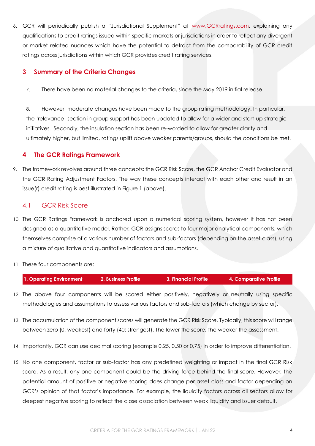6. GCR will periodically publish a "Jurisdictional Supplement" at [www.GCRratings.com,](http://gcrratings.com/criteria) explaining any qualifications to credit ratings issued within specific markets or jurisdictions in order to reflect any divergent or market related nuances which have the potential to detract from the comparability of GCR credit ratings across jurisdictions within which GCR provides credit rating services.

## <span id="page-3-0"></span>**3 Summary of the Criteria Changes**

7. There have been no material changes to the criteria, since the May 2019 initial release.

8. However, moderate changes have been made to the group rating methodology. In particular, the 'relevance' section in group support has been updated to allow for a wider and start-up strategic initiatives. Secondly, the insulation section has been re-worded to allow for greater clarity and ultimately higher, but limited, ratings uplift above weaker parents/groups, should the conditions be met.

# <span id="page-3-1"></span>**4 The GCR Ratings Framework**

9. The framework revolves around three concepts: the GCR Risk Score, the GCR Anchor Credit Evaluator and the GCR Rating Adjustment Factors. The way these concepts interact with each other and result in an issue(r) credit rating is best illustrated in [Figure 1](#page-2-2) [\(above\)](#page-2-2).

# <span id="page-3-2"></span>4.1 GCR Risk Score

- 10. The GCR Ratings Framework is anchored upon a numerical scoring system, however it has not been designed as a quantitative model. Rather, GCR assigns scores to four major analytical components, which themselves comprise of a various number of factors and sub-factors (depending on the asset class), using a mixture of qualitative and quantitative indicators and assumptions.
- 11. These four components are:

| 1. Operating Environment<br><b>2. Business Profile 1</b><br>3. Financial Profile |  |  |  | 4. Comparative Profile |
|----------------------------------------------------------------------------------|--|--|--|------------------------|
|----------------------------------------------------------------------------------|--|--|--|------------------------|

- 12. The above four components will be scored either positively, negatively or neutrally using specific methodologies and assumptions to assess various factors and sub-factors (which change by sector).
- 13. The accumulation of the component scores will generate the GCR Risk Score. Typically, this score will range between zero (0: weakest) and forty (40: strongest). The lower the score, the weaker the assessment.
- 14. Importantly, GCR can use decimal scoring (example 0,25, 0,50 or 0,75) in order to improve differentiation.
- 15. No one component, factor or sub-factor has any predefined weighting or impact in the final GCR Risk score. As a result, any one component could be the driving force behind the final score. However, the potential amount of positive or negative scoring does change per asset class and factor depending on GCR's opinion of that factor's importance. For example, the liquidity factors across all sectors allow for deepest negative scoring to reflect the close association between weak liquidity and issuer default.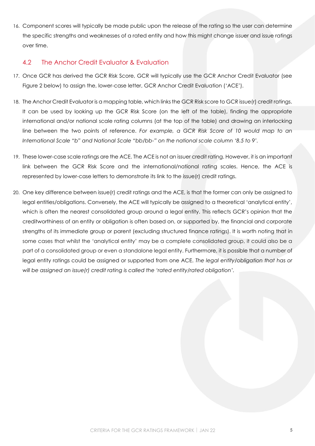16. Component scores will typically be made public upon the release of the rating so the user can determine the specific strengths and weaknesses of a rated entity and how this might change issuer and issue ratings over time.

# <span id="page-4-0"></span>4.2 The Anchor Credit Evaluator & Evaluation

- 17. Once GCR has derived the GCR Risk Score, GCR will typically use the GCR Anchor Credit Evaluator (see [Figure 2](#page-5-0) below) to assign the, lower-case letter, GCR Anchor Credit Evaluation ('ACE').
- 18. The Anchor Credit Evaluator is a mapping table, which links the GCR Risk score to GCR issue(r) credit ratings. It can be used by looking up the GCR Risk Score (on the left of the table), finding the appropriate international and/or national scale rating columns (at the top of the table) and drawing an interlocking line between the two points of reference. *For example, a GCR Risk Score of 10 would map to an International Scale "b" and National Scale "bb/bb-" on the national scale column '8.5 to 9'.*
- 19. These lower-case scale ratings are the ACE. The ACE is not an issuer credit rating. However, it is an important link between the GCR Risk Score and the international/national rating scales. Hence, the ACE is represented by lower-case letters to demonstrate its link to the issue(r) credit ratings.
- 20. One key difference between issue(r) credit ratings and the ACE, is that the former can only be assigned to legal entities/obligations. Conversely, the ACE will typically be assigned to a theoretical 'analytical entity', which is often the nearest consolidated group around a legal entity. This reflects GCR's opinion that the creditworthiness of an entity or obligation is often based on, or supported by, the financial and corporate strengths of its immediate group or parent (excluding structured finance ratings). It is worth noting that in some cases that whilst the 'analytical entity' may be a complete consolidated group, it could also be a part of a consolidated group or even a standalone legal entity. Furthermore, it is possible that a number of legal entity ratings could be assigned or supported from one ACE. *The legal entity/obligation that has or will be assigned an issue(r) credit rating is called the 'rated entity/rated obligation'.*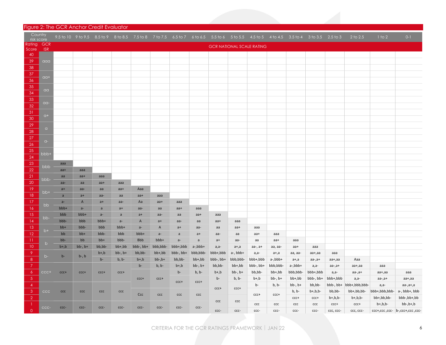### Figure 2: The GCR Anchor Credit Evaluator

<span id="page-5-0"></span>

| Country<br>risk score |            |              |              |                       |                      |                           |               |              |              |           |              |                                  |              |                         | 9.5 to 10 9 to 9.5 8.5 to 9 8 to 8.5 7.5 to 8 7 to 7.5 6.5 to 7 6 to 6.5 5.5 to 6 5 to 5.5 4.5 to 5 4 to 4.5 3.5 to 4 3 to 3.5 2.5 to 3 |             | $2$ to $2.5$                          | $1$ to $2$              | $0 - 1$                          |
|-----------------------|------------|--------------|--------------|-----------------------|----------------------|---------------------------|---------------|--------------|--------------|-----------|--------------|----------------------------------|--------------|-------------------------|-----------------------------------------------------------------------------------------------------------------------------------------|-------------|---------------------------------------|-------------------------|----------------------------------|
| Rating                | <b>GCR</b> |              |              |                       |                      |                           |               |              |              |           |              | <b>GCR NATIONAL SCALE RATING</b> |              |                         |                                                                                                                                         |             |                                       |                         |                                  |
| Score<br>40           | <b>ISR</b> |              |              |                       |                      |                           |               |              |              |           |              |                                  |              |                         |                                                                                                                                         |             |                                       |                         |                                  |
| 39                    | aaa        |              |              |                       |                      |                           |               |              |              |           |              |                                  |              |                         |                                                                                                                                         |             |                                       |                         |                                  |
| 38                    |            |              |              |                       |                      |                           |               |              |              |           |              |                                  |              |                         |                                                                                                                                         |             |                                       |                         |                                  |
| 37                    |            |              |              |                       |                      |                           |               |              |              |           |              |                                  |              |                         |                                                                                                                                         |             |                                       |                         |                                  |
| 36                    | $a +$      |              |              |                       |                      |                           |               |              |              |           |              |                                  |              |                         |                                                                                                                                         |             |                                       |                         |                                  |
| 35                    |            |              |              |                       |                      |                           |               |              |              |           |              |                                  |              |                         |                                                                                                                                         |             |                                       |                         |                                  |
| 34                    | $a\alpha$  |              |              |                       |                      |                           |               |              |              |           |              |                                  |              |                         |                                                                                                                                         |             |                                       |                         |                                  |
| 33                    | $\alpha$   |              |              |                       |                      |                           |               |              |              |           |              |                                  |              |                         |                                                                                                                                         |             |                                       |                         |                                  |
| 32                    |            |              |              |                       |                      |                           |               |              |              |           |              |                                  |              |                         |                                                                                                                                         |             |                                       |                         |                                  |
| 31                    | $Q+$       |              |              |                       |                      |                           |               |              |              |           |              |                                  |              |                         |                                                                                                                                         |             |                                       |                         |                                  |
| 30                    |            |              |              |                       |                      |                           |               |              |              |           |              |                                  |              |                         |                                                                                                                                         |             |                                       |                         |                                  |
| 29                    | $\alpha$   |              |              |                       |                      |                           |               |              |              |           |              |                                  |              |                         |                                                                                                                                         |             |                                       |                         |                                  |
| 28<br>27              |            |              |              |                       |                      |                           |               |              |              |           |              |                                  |              |                         |                                                                                                                                         |             |                                       |                         |                                  |
| 26                    | $Q-$       |              |              |                       |                      |                           |               |              |              |           |              |                                  |              |                         |                                                                                                                                         |             |                                       |                         |                                  |
| 25                    |            |              |              |                       |                      |                           |               |              |              |           |              |                                  |              |                         |                                                                                                                                         |             |                                       |                         |                                  |
| 24                    | bbb+       |              |              |                       |                      |                           |               |              |              |           |              |                                  |              |                         |                                                                                                                                         |             |                                       |                         |                                  |
| 23                    |            | aaa          |              |                       |                      |                           |               |              |              |           |              |                                  |              |                         |                                                                                                                                         |             |                                       |                         |                                  |
| 22                    | bbb        | $aa+$        | aaa          |                       |                      |                           |               |              |              |           |              |                                  |              |                         |                                                                                                                                         |             |                                       |                         |                                  |
| 21                    | bbb-       | aa           | $aa+$        | aaa                   |                      |                           |               |              |              |           |              |                                  |              |                         |                                                                                                                                         |             |                                       |                         |                                  |
| 20                    |            | aa-          | aa           | $aa+$                 | aaa                  |                           |               |              |              |           |              |                                  |              |                         |                                                                                                                                         |             |                                       |                         |                                  |
| 19                    | bb+        | $a+$         | aa-          | aa                    | $aa+$                | Aaa                       |               |              |              |           |              |                                  |              |                         |                                                                                                                                         |             |                                       |                         |                                  |
| 18                    |            | $\mathsf{a}$ | $a+$         | aa-                   | aa                   | $aa+$                     | aaa           |              |              |           |              |                                  |              |                         |                                                                                                                                         |             |                                       |                         |                                  |
| 17                    | bb         | $a-$         | $\mathsf{A}$ | $a+$                  | aa-                  | Aa                        | $aa+$         | aaa          |              |           |              |                                  |              |                         |                                                                                                                                         |             |                                       |                         |                                  |
| 16<br>15              |            | bbb+<br>bbb  | $a-$<br>bbb+ | $\mathsf{a}$<br>$a -$ | $a+$<br>$\mathsf{a}$ | aa-<br>$a+$               | aa<br>aa-     | $aa+$<br>aa  | aaa<br>$aa+$ | aaa       |              |                                  |              |                         |                                                                                                                                         |             |                                       |                         |                                  |
| 14                    | bb-        | bbb-         | bbb          | bbb+                  | $a-$                 | $\boldsymbol{\mathsf{A}}$ | $a+$          | aa-          | aa           | aa+       | aaa          |                                  |              |                         |                                                                                                                                         |             |                                       |                         |                                  |
| 13                    |            | $bb+$        | bbb-         | bbb                   | bbb+                 | $a-$                      | A             | $a+$         | aa-          | aa        | aa+          | ааа                              |              |                         |                                                                                                                                         |             |                                       |                         |                                  |
| 12                    | $b+$       | bb           | $bb+$        | bbb-                  | bbb                  | bbb+                      | $a-$          | $\mathsf{a}$ | $a+$         | aa-       | aa           | aa+                              | aaa          |                         |                                                                                                                                         |             |                                       |                         |                                  |
| $\overline{11}$       |            | bb-          | bb           | $bb+$                 | bbb-                 | <b>Bbb</b>                | bbb+          | $a-$         | a            | $a+$      | aa-          | aa                               | aa+          | aaa                     |                                                                                                                                         |             |                                       |                         |                                  |
| 10                    | b          | $b+, b$      | $bb-$ , $b+$ | bb,bb-                | bb+,bb               | bbb-, bb+                 | bbb,bbb-      | bbb+,bbb     | a-,bbb+      | $a, a-$   | $a+$ , $a$   | aa-, a+                          | aa, aa-      | aa+                     | aaa                                                                                                                                     |             |                                       |                         |                                  |
| 9                     | $b-$       | $b -$        | $b-, b$      | $b+, b$               | $bb-$ , $b+$         | bb,bb-                    | bb+,bb        | bbb-, bb+    | bbb,bbb-     | bbb+,bbb  | $a-$ , bbb+  | $a,a-$                           | $a+,a$       | aa, aa-                 | aa+,aa                                                                                                                                  | aaa         |                                       |                         |                                  |
| 8                     |            |              |              | $b -$                 | $b, b-$              | $b+, b$                   | $bb-$ , $bt+$ | bb,bb-       | bb+,bb       | bbb-, bb+ | bbb,bbb-     | bbb+,bbb                         | $a$ -,bbb+   | a+,a                    | aa-,a+                                                                                                                                  | aa+,aa      | Aaa                                   |                         |                                  |
| 7                     |            |              |              |                       |                      | $b -$                     | $b, b-$       | $b+, b$      | $bb-$ , $b+$ | bb,bb-    | bb+,bb       | bbb-, bb+                        | bbb,bbb-     | a-,bbb+                 | a, a-                                                                                                                                   | $aa-,a+$    | aa+,aa                                | aaa                     |                                  |
| 6                     | $CCC+$     | $CCC+$       | $CCC+$       | $ccc +$               | $ccc +$              |                           |               | b-           | $b, b$ -     | $b+, b$   | $bb-$ , $b+$ | bb,bb-                           | bb+,bb       | bbb,bbb-                | bbb+,bbb                                                                                                                                | $a,a-$      | $aa-,a+$                              | aa+,aa                  | aaa                              |
| 5 <sup>5</sup>        |            |              |              |                       |                      | $ccc +$                   | ccct          | $ccc +$      | $ccc +$      | $b -$     | $b, b-$      | b+,b                             | $bb-$ , $b+$ | bb+,bb                  | bbb-, bb+                                                                                                                               | bbb+,bbb    | $a,a-$                                | $aa-,a+$                | aa+,aa                           |
| $\overline{4}$<br>3   | ccc        | ccc          |              | ccc                   | ccc                  |                           |               |              |              | $ccc +$   | $ccc +$      | b-                               | $b, b$ -     | $bb-$ , $b+$<br>$b, b-$ | bb,bb-<br>$b+, b, b-$                                                                                                                   | bb,bb-      | bbb-, bb+ bbb+,bbb,bbb-<br>bb+,bb,bb- | $a,a-$<br>bbb+,bbb,bbb- | $aa-,a+,a$<br>a-, bbb+, bbb      |
| $\overline{2}$        |            |              | ccc          |                       |                      | Ccc                       | ccc           | ccc          | ccc          |           |              | $ccc +$                          | $ccc$ +      | $CCC+$                  | $ccc+$                                                                                                                                  | $b+, b, b-$ | $b+, b, b-$                           | bb+,bb,bb-              | bbb-,bb+,bb                      |
| -1                    |            |              |              |                       |                      |                           |               |              |              | ccc       | ccc          | ccc                              | ccc          | ccc                     | ccc                                                                                                                                     | $ccc+$      | $ccc+$                                | $b+, b, b-$             | $bb-, b+, b$                     |
| $\overline{0}$        | CCC-       | CCC-         | CCC-         | CCC-                  | CCC-                 | CCC-                      | CCC-          | CCC-         | ccc-         | ccc-      | ccc-         | ccc-                             | ccc-         | ccc-                    | ccc-                                                                                                                                    | ccc, ccc-   | ccc, ccc-                             |                         | -ccc+,ccc ,ccc- b-,ccc+,ccc ,ccc |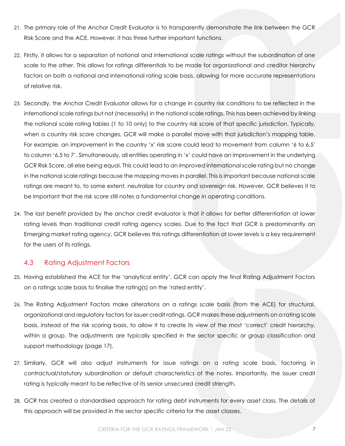- 21. The primary role of the Anchor Credit Evaluator is to transparently demonstrate the link between the GCR Risk Score and the ACE. However, it has three further important functions.
- 22. Firstly, it allows for a separation of national and international scale ratings without the subordination of one scale to the other. This allows for ratings differentials to be made for organizational and creditor hierarchy factors on both a national and international rating scale basis, allowing for more accurate representations of relative risk.
- 23. Secondly, the Anchor Credit Evaluator allows for a change in country risk conditions to be reflected in the international scale ratings but not (necessarily) in the national scale ratings. This has been achieved by linking the national scale rating tables (1 to 10 only) to the country risk score of that specific jurisdiction. Typically, when a country risk score changes, GCR will make a parallel move with that jurisdiction's mapping table. For example, an improvement in the country 'x' risk score could lead to movement from column '6 to 6.5' to column '6.5 to 7'. Simultaneously, all entities operating in 'x' could have an improvement in the underlying GCR Risk Score, all else being equal. This could lead to an improved international scale rating but no change in the national scale ratings because the mapping moves in parallel. This is important because national scale ratings are meant to, to some extent, neutralize for country and sovereign risk. However, GCR believes it to be important that the risk score still notes a fundamental change in operating conditions.
- 24. The last benefit provided by the anchor credit evaluator is that it allows for better differentiation at lower rating levels than traditional credit rating agency scales. Due to the fact that GCR is predominantly an Emerging market rating agency, GCR believes this ratings differentiation at lower levels is a key requirement for the users of its ratings.

## 4.3 Rating Adjustment Factors

- <span id="page-6-0"></span>25. Having established the ACE for the 'analytical entity', GCR can apply the final Rating Adjustment Factors on a ratings scale basis to finalise the rating(s) on the 'rated entity'.
- 26. The Rating Adjustment Factors make alterations on a ratings scale basis (from the ACE) for structural, organizational and regulatory factors for issuer credit ratings. GCR makes these adjustments on a rating scale basis, instead of the risk scoring basis, to allow it to create its view of the most 'correct' credit hierarchy, within a group. The adjustments are typically specified in the sector specific or group classification and support methodology (page [17\)](#page-15-1).
- 27. Similarly, GCR will also adjust instruments for issue ratings on a rating scale basis, factoring in contractual/statutory subordination or default characteristics of the notes. Importantly, the issuer credit rating is typically meant to be reflective of its senior unsecured credit strength.
- 28. GCR has created a standardised approach for rating debt instruments for every asset class. The details of this approach will be provided in the sector specific criteria for the asset classes.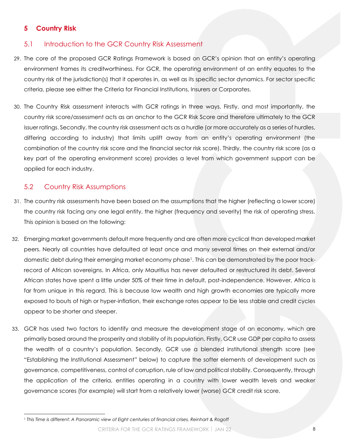# **5 Country Risk**

## 5.1 Introduction to the GCR Country Risk Assessment

- <span id="page-7-1"></span><span id="page-7-0"></span>29. The core of the proposed GCR Ratings Framework is based on GCR's opinion that an entity's operating environment frames its creditworthiness. For GCR, the operating environment of an entity equates to the country risk of the jurisdiction(s) that it operates in, as well as its specific sector dynamics. For sector specific criteria, please see either the Criteria for Financial Institutions, Insurers or Corporates.
- 30. The Country Risk assessment interacts with GCR ratings in three ways. Firstly, and most importantly, the country risk score/assessment acts as an anchor to the GCR Risk Score and therefore ultimately to the GCR issuer ratings. Secondly, the country risk assessment acts as a hurdle (or more accurately as a series of hurdles, differing according to industry) that limits uplift away from an entity's operating environment (the combination of the country risk score and the financial sector risk score). Thirdly, the country risk score (as a key part of the operating environment score) provides a level from which government support can be applied for each industry.

## 5.2 Country Risk Assumptions

- <span id="page-7-2"></span>31. The country risk assessments have been based on the assumptions that the higher (reflecting a lower score) the country risk facing any one legal entity, the higher (frequency and severity) the risk of operating stress. This opinion is based on the following:
- 32. Emerging market governments default more frequently and are often more cyclical than developed market peers. Nearly all countries have defaulted at least once and many several times on their external and/or domestic debt during their emerging market economy phase<sup>1</sup>. This can be demonstrated by the poor trackrecord of African sovereigns. In Africa, only Mauritius has never defaulted or restructured its debt. Several African states have spent a little under 50% of their time in default, post-independence. However, Africa is far from unique in this regard. This is because low wealth and high growth economies are typically more exposed to bouts of high or hyper-inflation, their exchange rates appear to be less stable and credit cycles appear to be shorter and steeper.
- 33. GCR has used two factors to identify and measure the development stage of an economy, which are primarily based around the prosperity and stability of its population. Firstly, GCR use GDP per capita to assess the wealth of a country's population. Secondly, GCR use a blended institutional strength score (see "[Establishing the Institutional Assessment](#page-10-0)" below) to capture the softer elements of development such as governance, competitiveness, control of corruption, rule of law and political stability. Consequently, through the application of the criteria, entities operating in a country with lower wealth levels and weaker governance scores (for example) will start from a relatively lower (worse) GCR credit risk score.

*<sup>1</sup> This Time is different: A Panoramic view of Eight centuries of financial crises, Reinhart & Rogoff*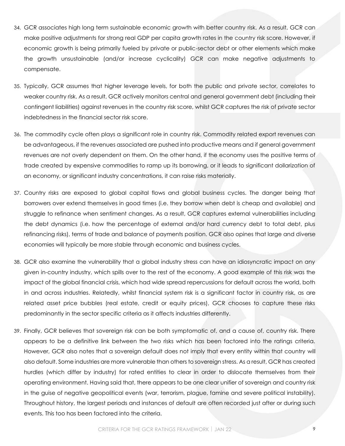- 34. GCR associates high long term sustainable economic growth with better country risk. As a result, GCR can make positive adjustments for strong real GDP per capita growth rates in the country risk score. However, if economic growth is being primarily fueled by private or public-sector debt or other elements which make the growth unsustainable (and/or increase cyclicality) GCR can make negative adjustments to compensate.
- 35. Typically, GCR assumes that higher leverage levels, for both the public and private sector, correlates to weaker country risk. As a result, GCR actively monitors central and general government debt (including their contingent liabilities) against revenues in the country risk score, whilst GCR captures the risk of private sector indebtedness in the financial sector risk score.
- 36. The commodity cycle often plays a significant role in country risk. Commodity related export revenues can be advantageous, if the revenues associated are pushed into productive means and if general government revenues are not overly dependent on them. On the other hand, if the economy uses the positive terms of trade created by expensive commodities to ramp up its borrowing, or it leads to significant dollarization of an economy, or significant industry concentrations, it can raise risks materially.
- 37. Country risks are exposed to global capital flows and global business cycles. The danger being that borrowers over extend themselves in good times (i.e. they borrow when debt is cheap and available) and struggle to refinance when sentiment changes. As a result, GCR captures external vulnerabilities including the debt dynamics (i.e. how the percentage of external and/or hard currency debt to total debt, plus refinancing risks), terms of trade and balance of payments position. GCR also opines that large and diverse economies will typically be more stable through economic and business cycles.
- 38. GCR also examine the vulnerability that a global industry stress can have an idiosyncratic impact on any given in-country industry, which spills over to the rest of the economy. A good example of this risk was the impact of the global financial crisis, which had wide spread repercussions for default across the world, both in and across industries. Relatedly, whilst financial system risk is a significant factor in country risk, as are related asset price bubbles (real estate, credit or equity prices), GCR chooses to capture these risks predominantly in the sector specific criteria as it affects industries differently.
- 39. Finally, GCR believes that sovereign risk can be both symptomatic of, and a cause of, country risk. There appears to be a definitive link between the two risks which has been factored into the ratings criteria. However, GCR also notes that a sovereign default does not imply that every entity within that country will also default. Some industries are more vulnerable than others to sovereign stress. As a result, GCR has created hurdles (which differ by industry) for rated entities to clear in order to dislocate themselves from their operating environment. Having said that, there appears to be one clear unifier of sovereign and country risk in the guise of negative geopolitical events (war, terrorism, plague, famine and severe political instability). Throughout history, the largest periods and instances of default are often recorded just after or during such events. This too has been factored into the criteria.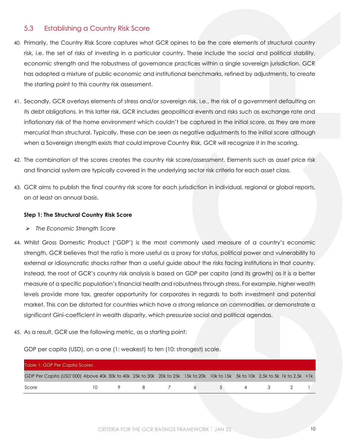## 5.3 Establishing a Country Risk Score

- <span id="page-9-0"></span>40. Primarily, the Country Risk Score captures what GCR opines to be the core elements of structural country risk, i.e. the set of risks of investing in a particular country. These include the social and political stability, economic strength and the robustness of governance practices within a single sovereign jurisdiction. GCR has adopted a mixture of public economic and institutional benchmarks, refined by adjustments, to create the starting point to this country risk assessment.
- 41. Secondly, GCR overlays elements of stress and/or sovereign risk, i.e., the risk of a government defaulting on its debt obligations. In this latter risk, GCR includes geopolitical events and risks such as exchange rate and inflationary risk of the home environment which couldn't be captured in the initial score, as they are more mercurial than structural. Typically, these can be seen as negative adjustments to the initial score although when a Sovereign strength exists that could improve Country Risk, GCR will recognize it in the scoring.
- 42. The combination of the scores creates the country risk score/assessment. Elements such as asset price risk and financial system are typically covered in the underlying sector risk criteria for each asset class.
- 43. GCR aims to publish the final country risk score for each jurisdiction in individual, regional or global reports, on at least an annual basis.

### **Step 1: The Structural Country Risk Score**

- ➢ *The Economic Strength Score*
- 44. Whilst Gross Domestic Product ('GDP') is the most commonly used measure of a country's economic strength, GCR believes that the ratio is more useful as a proxy for status, political power and vulnerability to external or idiosyncratic shocks rather than a useful guide about the risks facing institutions in that country. Instead, the root of GCR's country risk analysis is based on GDP per capita (and its growth) as it is a better measure of a specific population's financial health and robustness through stress. For example, higher wealth levels provide more tax, greater opportunity for corporates in regards to both investment and potential market. This can be distorted for countries which have a strong reliance on commodities, or demonstrate a significant Gini-coefficient in wealth disparity, which pressurize social and political agendas.
- 45. As a result, GCR use the following metric, as a starting point:

GDP per capita (USD), on a one (1: weakest) to ten (10: strongest) scale.

| Table 1: GDP Per Capita Scores                                                                                                |           |                |       |                |  |         |  |
|-------------------------------------------------------------------------------------------------------------------------------|-----------|----------------|-------|----------------|--|---------|--|
| GDP Per Capita (USD'000) Above 40k 30k to 40k 25k to 30k 20k to 25k 15k to 20k 10k to 15k 5k to 10k 2,5k to 5k 1k to 2,5k <1k |           |                |       |                |  |         |  |
| Score                                                                                                                         | $10^{-1}$ | $\overline{9}$ | 8 7 6 | 5 <sup>1</sup> |  | 4 3 2 1 |  |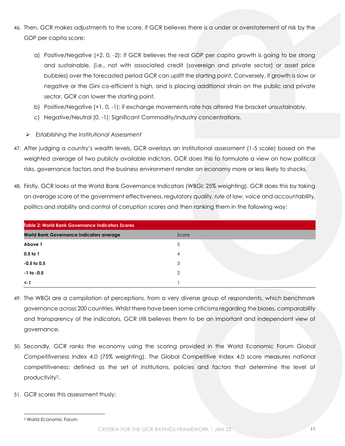- 46. Then, GCR makes adjustments to the score, if GCR believes there is a under or overstatement of risk by the GDP per capita score:
	- a) Positive/Negative (+2, 0, -2): if GCR believes the real GDP per capita growth is going to be strong and sustainable, (i.e., not with associated credit (sovereign and private sector) or asset price bubbles) over the forecasted period GCR can uplift the starting point. Conversely, if growth is slow or negative or the Gini co-efficient is high, and is placing additional strain on the public and private sector, GCR can lower the starting point.
	- b) Positive/Negative (+1, 0, -1): if exchange movements rate has altered the bracket unsustainably.
	- c) Negative/Neutral (0, -1): Significant Commodity/Industry concentrations.
	- ➢ *Establishing the Institutional Assessment*
- <span id="page-10-0"></span>47. After judging a country's wealth levels, GCR overlays an institutional assessment (1-5 scale) based on the weighted average of two publicly available indictors. GCR does this to formulate a view on how political risks, governance factors and the business environment render an economy more or less likely to shocks.
- 48. Firstly, GCR looks at the World Bank Governance Indicators (WBGI; 25% weighting). GCR does this by taking an average score of the government effectiveness, regulatory quality, rule of law, voice and accountability, politics and stability and control of corruption scores and then ranking them in the following way:

| <b>Table 2: World Bank Governance Indicators Scores</b> |       |  |
|---------------------------------------------------------|-------|--|
| <b>World Bank Governance Indicators average</b>         | Score |  |
| Above 1                                                 | 5     |  |
| $0.5$ to $1$                                            | 4     |  |
| $-0.5$ to 0.5                                           | 3     |  |
| $-1$ to $-0.5$                                          | ↷     |  |
| $\lt$ -1                                                |       |  |

- 49. The WBGI are a compilation of perceptions, from a very diverse group of respondents, which benchmark governance across 200 countries. Whilst there have been some criticisms regarding the biases, comparability and transparency of the indicators, GCR still believes them to be an important and independent view of governance.
- 50. Secondly, GCR ranks the economy using the scoring provided in the World Economic Forum *Global Competitiveness Index* 4.0 (75% weighting). The Global Competitive Index 4.0 score measures national competitiveness: defined as the set of institutions, policies and factors that determine the level of productivity2.
- 51. GCR scores this assessment thusly:

<sup>2</sup> World Economic Forum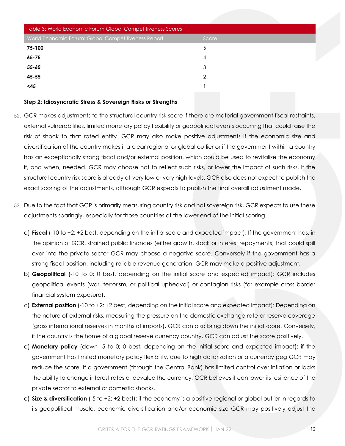| Table 3: World Economic Forum Global Competitiveness Scores |       |
|-------------------------------------------------------------|-------|
| World Economic Forum: Global Competitiveness Report         | Score |
| 75-100                                                      | 5     |
| $65 - 75$                                                   | 4     |
| $55 - 65$                                                   | 3     |
| $45 - 55$                                                   | հ     |
| <45                                                         |       |

#### **Step 2: Idiosyncratic Stress & Sovereign Risks or Strengths**

- 52. GCR makes adjustments to the structural country risk score if there are material government fiscal restraints, external vulnerabilities, limited monetary policy flexibility or geopolitical events occurring that could raise the risk of shock to that rated entity. GCR may also make positive adjustments if the economic size and diversification of the country makes it a clear regional or global outlier or if the government within a country has an exceptionally strong fiscal and/or external position, which could be used to revitalize the economy if, and when, needed. GCR may choose not to reflect such risks, or lower the impact of such risks, if the structural country risk score is already at very low or very high levels. GCR also does not expect to publish the exact scoring of the adjustments, although GCR expects to publish the final overall adjustment made.
- 53. Due to the fact that GCR is primarily measuring country risk and not sovereign risk, GCR expects to use these adjustments sparingly, especially for those countries at the lower end of the initial scoring.
	- a) **Fiscal** (-10 to +2: +2 best, depending on the initial score and expected impact): If the government has, in the opinion of GCR, strained public finances (either growth, stock or interest repayments) that could spill over into the private sector GCR may choose a negative score. Conversely if the government has a strong fiscal position, including reliable revenue generation, GCR may make a positive adjustment.
	- b) **Geopolitical** (-10 to 0: 0 best, depending on the initial score and expected impact): GCR includes geopolitical events (war, terrorism, or political upheaval) or contagion risks (for example cross border financial system exposure).
	- c) **External position** (-10 to +2: +2 best, depending on the initial score and expected impact): Depending on the nature of external risks, measuring the pressure on the domestic exchange rate or reserve coverage (gross international reserves in months of imports), GCR can also bring down the initial score. Conversely, if the country is the home of a global reserve currency country, GCR can adjust the score positively.
	- d) **Monetary policy** (down -5 to 0; 0 best, depending on the initial score and expected impact): if the government has limited monetary policy flexibility, due to high dollarization or a currency peg GCR may reduce the score. If a government (through the Central Bank) has limited control over inflation or lacks the ability to change interest rates or devalue the currency, GCR believes it can lower its resilience of the private sector to external or domestic shocks.
	- e) **Size & diversification** (-5 to +2: +2 best): if the economy is a positive regional or global outlier in regards to its geopolitical muscle, economic diversification and/or economic size GCR may positively adjust the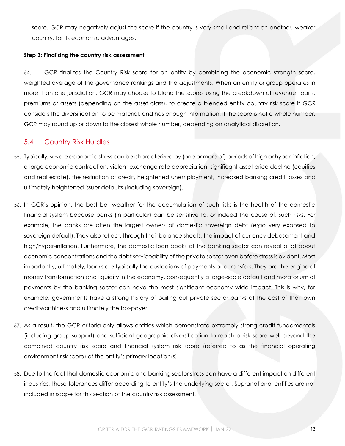score. GCR may negatively adjust the score if the country is very small and reliant on another, weaker country, for its economic advantages.

#### **Step 3: Finalising the country risk assessment**

54. GCR finalizes the Country Risk score for an entity by combining the economic strength score, weighted average of the governance rankings and the adjustments. When an entity or group operates in more than one jurisdiction, GCR may choose to blend the scores using the breakdown of revenue, loans, premiums or assets (depending on the asset class), to create a blended entity country risk score if GCR considers the diversification to be material, and has enough information. If the score is not a whole number, GCR may round up or down to the closest whole number, depending on analytical discretion.

### 5.4 Country Risk Hurdles

- <span id="page-12-0"></span>55. Typically, severe economic stress can be characterized by (one or more of) periods of high or hyper-inflation, a large economic contraction, violent exchange rate depreciation, significant asset price decline (equities and real estate), the restriction of credit, heightened unemployment, increased banking credit losses and ultimately heightened issuer defaults (including sovereign).
- 56. In GCR's opinion, the best bell weather for the accumulation of such risks is the health of the domestic financial system because banks (in particular) can be sensitive to, or indeed the cause of, such risks. For example, the banks are often the largest owners of domestic sovereign debt (ergo very exposed to sovereign default). They also reflect, through their balance sheets, the impact of currency debasement and high/hyper-inflation. Furthermore, the domestic loan books of the banking sector can reveal a lot about economic concentrations and the debt serviceability of the private sector even before stress is evident. Most importantly, ultimately, banks are typically the custodians of payments and transfers. They are the engine of money transformation and liquidity in the economy, consequently a large-scale default and moratorium of payments by the banking sector can have the most significant economy wide impact. This is why, for example, governments have a strong history of bailing out private sector banks at the cost of their own creditworthiness and ultimately the tax-payer.
- 57. As a result, the GCR criteria only allows entities which demonstrate extremely strong credit fundamentals (including group support) and sufficient geographic diversification to reach a risk score well beyond the combined country risk score and financial system risk score (referred to as the financial operating environment risk score) of the entity's primary location(s).
- 58. Due to the fact that domestic economic and banking sector stress can have a different impact on different industries, these tolerances differ according to entity's the underlying sector. Supranational entities are not included in scope for this section of the country risk assessment.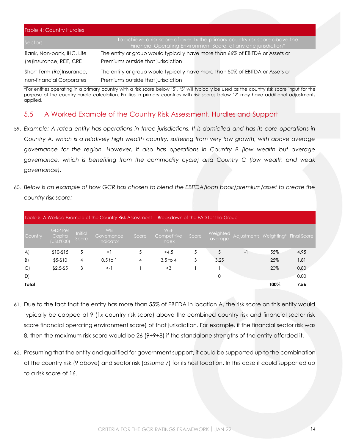| <b>Table 4: Country Hurdles</b> |                                                                                                                                                |
|---------------------------------|------------------------------------------------------------------------------------------------------------------------------------------------|
| Sectors                         | To achieve a risk score of over 1x the primary country risk score above the<br>Financial Operating Environment Score, of any one jurisdiction* |
| Bank, Non-bank, IHC, Life       | The entity or group would typically have more than 66% of EBITDA or Assets or                                                                  |
| (re)insurance, REIT, CRE        | Premiums outside that jurisdiction                                                                                                             |
| Short-Term (Re)Insurance,       | The entity or group would typically have more than 50% of EBITDA or Assets or                                                                  |
| non-financial Corporates        | Premiums outside that jurisdiction                                                                                                             |

\*For entities operating in a primary country with a risk score below '5', '5' will typically be used as the country risk score input for the purpose of the country hurdle calculation. Entities in primary countries with risk scores below '2' may have additional adjustments applied.

# 5.5 A Worked Example of the Country Risk Assessment, Hurdles and Support

- <span id="page-13-0"></span>59. *Example: A rated entity has operations in three jurisdictions. It is domiciled and has its core operations in Country A, which is a relatively high wealth country, suffering from very low growth, with above average governance for the region. However, it also has operations in Country B (low wealth but average governance, which is benefiting from the commodity cycle) and Country C (low wealth and weak governance).*
- 60. *Below is an example of how GCR has chosen to blend the EBITDA/loan book/premium/asset to create the country risk score:*

|              |                                       |                  | Table 5: A Worked Example of the Country Risk Assessment   Breakdown of the EAD for the Group |       |                                           |       |                     |                        |      |                    |
|--------------|---------------------------------------|------------------|-----------------------------------------------------------------------------------------------|-------|-------------------------------------------|-------|---------------------|------------------------|------|--------------------|
| Country      | <b>GDP Per</b><br>Capita<br>(USD'000) | Initial<br>Score | W <sub>B</sub><br>Governance<br>Indicator                                                     | Score | <b>WEF</b><br>Competitive<br><b>Index</b> | Score | Weighted<br>average | Adjustments Weighting* |      | <b>Final Score</b> |
| $\mathsf{A}$ | $$10-$15$                             | 5                | >1                                                                                            | 5     | >4.5                                      | 5     | 5                   | $-1$                   | 55%  | 4.95               |
| B)           | $$5-$10$                              | 4                | $0.5$ to 1                                                                                    | 4     | 3.5 <sub>to 4</sub>                       | 3     | 3.25                |                        | 25%  | 1.81               |
| $\mathsf{C}$ | $$2.5 - $5$                           | 3                | $\lt$ -1                                                                                      |       | $<$ 3                                     |       |                     |                        | 20%  | 0.80               |
| D)           |                                       |                  |                                                                                               |       |                                           |       | 0                   |                        |      | 0.00               |
| Total        |                                       |                  |                                                                                               |       |                                           |       |                     |                        | 100% | 7.56               |

- 61. Due to the fact that the entity has more than 55% of EBITDA in location A, the risk score on this entity would typically be capped at 9 (1x country risk score) above the combined country risk and financial sector risk score financial operating environment score) of that jurisdiction. For example, if the financial sector risk was 8, then the maximum risk score would be 26 (9+9+8) if the standalone strengths of the entity afforded it.
- 62. Presuming that the entity and qualified for government support, it could be supported up to the combination of the country risk (9 above) and sector risk (assume 7) for its host location. In this case it could supported up to a risk score of 16.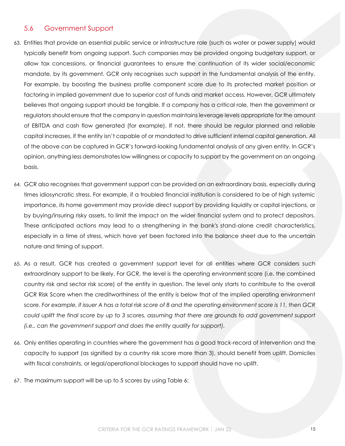### 5.6 Government Support

- <span id="page-14-0"></span>63. Entities that provide an essential public service or infrastructure role (such as water or power supply) would typically benefit from ongoing support. Such companies may be provided ongoing budgetary support, or allow tax concessions, or financial guarantees to ensure the continuation of its wider social/economic mandate, by its government. GCR only recognises such support in the fundamental analysis of the entity. For example, by boosting the business profile component score due to its protected market position or factoring in implied government due to superior cost of funds and market access. However, GCR ultimately believes that ongoing support should be tangible. If a company has a critical role, then the government or regulators should ensure that the company in question maintains leverage levels appropriate for the amount of EBITDA and cash flow generated (for example). If not, there should be regular planned and reliable capital increases, if the entity isn't capable of or mandated to drive sufficient internal capital generation. All of the above can be captured in GCR's forward-looking fundamental analysis of any given entity. In GCR's opinion, anything less demonstrates low willingness or capacity to support by the government on an ongoing basis.
- 64. GCR also recognises that government support can be provided on an extraordinary basis, especially during times idiosyncratic stress. For example, if a troubled financial institution is considered to be of high systemic importance, its home government may provide direct support by providing liquidity or capital injections, or by buying/insuring risky assets, to limit the impact on the wider financial system and to protect depositors. These anticipated actions may lead to a strengthening in the bank's stand-alone credit characteristics, especially in a time of stress, which have yet been factored into the balance sheet due to the uncertain nature and timing of support.
- 65. As a result, GCR has created a government support level for all entities where GCR considers such extraordinary support to be likely. For GCR, the level is the operating environment score (i.e. the combined country risk and sector risk score) of the entity in question. The level only starts to contribute to the overall GCR Risk Score when the creditworthiness of the entity is below that of the implied operating environment score. *For example, if issuer A has a total risk score of 8 and the operating environment score is 11, then GCR could uplift the final score by up to 3 scores, assuming that there are grounds to add government support (i.e., can the government support and does the entity qualify for support).*
- 66. Only entities operating in countries where the government has a good track-record of intervention and the capacity to support (as signified by a country risk score more than 3), should benefit from uplift. Domiciles with fiscal constraints, or legal/operational blockages to support should have no uplift.
- 67. The maximum support will be up to 5 scores by using [Table 6:](#page-15-2)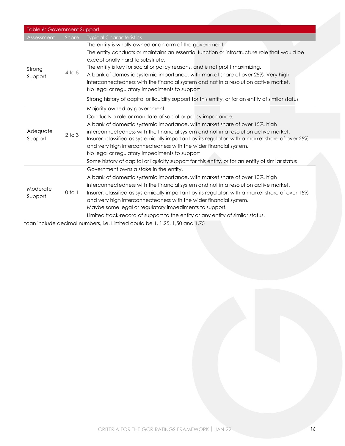<span id="page-15-2"></span>

| Table 6: Government Support |            |                                                                                                                                                                                                                                                                                                                                                                                                                                                                                                                                                                                                                |
|-----------------------------|------------|----------------------------------------------------------------------------------------------------------------------------------------------------------------------------------------------------------------------------------------------------------------------------------------------------------------------------------------------------------------------------------------------------------------------------------------------------------------------------------------------------------------------------------------------------------------------------------------------------------------|
| Assessment                  | Score      | <b>Typical Characteristics</b>                                                                                                                                                                                                                                                                                                                                                                                                                                                                                                                                                                                 |
| Strong<br>Support           | 4 to 5     | The entity is wholly owned or an arm of the government.<br>The entity conducts or maintains an essential function or infrastructure role that would be<br>exceptionally hard to substitute.<br>The entity is key for social or policy reasons, and is not profit maximizing.<br>A bank of domestic systemic importance, with market share of over 25%, Very high<br>interconnectedness with the financial system and not in a resolution active market.<br>No legal or regulatory impediments to support<br>Strong history of capital or liquidity support for this entity, or for an entity of similar status |
|                             |            | Majority owned by government.                                                                                                                                                                                                                                                                                                                                                                                                                                                                                                                                                                                  |
| Adequate<br>Support         | $2$ to $3$ | Conducts a role or mandate of social or policy importance.<br>A bank of domestic systemic importance, with market share of over 15%, high<br>interconnectedness with the financial system and not in a resolution active market.<br>Insurer, classified as systemically important by its regulator, with a market share of over 25%<br>and very high interconnectedness with the wider financial system.<br>No legal or regulatory impediments to support<br>Some history of capital or liquidity support for this entity, or for an entity of similar status                                                  |
| Moderate<br>Support         | $0$ to $1$ | Government owns a stake in the entity.<br>A bank of domestic systemic importance, with market share of over 10%, high<br>interconnectedness with the financial system and not in a resolution active market.<br>Insurer, classified as systemically important by its regulator, with a market share of over 15%<br>and very high interconnectedness with the wider financial system.<br>Maybe some legal or regulatory impediments to support.<br>Limited track-record of support to the entity or any entity of similar status.                                                                               |

<span id="page-15-1"></span><span id="page-15-0"></span>\*can include decimal numbers, i.e. Limited could be 1, 1,25, 1,50 and 1,75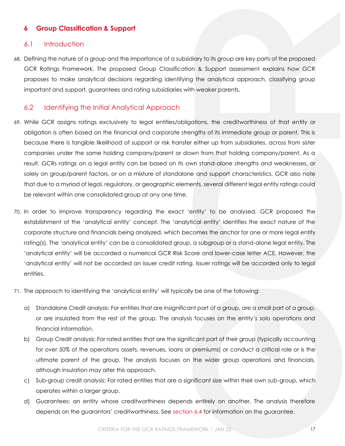## **6 Group Classification & Support**

### 6.1 Introduction

<span id="page-16-0"></span>68. Defining the nature of a group and the importance of a subsidiary to its group are key parts of the proposed GCR Ratings Framework. The proposed Group Classification & Support assessment explains how GCR proposes to make analytical decisions regarding identifying the analytical approach, classifying group important and support, guarantees and rating subsidiaries with weaker parents.

### 6.2 Identifying the Initial Analytical Approach

- <span id="page-16-1"></span>69. While GCR assigns ratings exclusively to legal entities/obligations, the creditworthiness of that entity or obligation is often based on the financial and corporate strengths of its immediate group or parent. This is because there is tangible likelihood of support or risk transfer either up from subsidiaries, across from sister companies under the same holding company/parent or down from that holding company/parent. As a result, GCRs ratings on a legal entity can be based on its own stand-alone strengths and weaknesses, or solely on group/parent factors, or on a mixture of standalone and support characteristics. GCR also note that due to a myriad of legal, regulatory, or geographic elements, several different legal entity ratings could be relevant within one consolidated group at any one time.
- 70. In order to improve transparency regarding the exact 'entity' to be analysed, GCR proposed the establishment of the 'analytical entity' concept. The 'analytical entity' identifies the exact nature of the corporate structure and financials being analyzed, which becomes the anchor for one or more legal entity rating(s). The 'analytical entity' can be a consolidated group, a subgroup or a stand-alone legal entity. The 'analytical entity' will be accorded a numerical GCR Risk Score and lower-case letter ACE. However, the 'analytical entity' will not be accorded an issuer credit rating. Issuer ratings will be accorded only to legal entities.
- 71. The approach to identifying the 'analytical entity' will typically be one of the following:
	- a) Standalone Credit analysis: For entities that are insignificant part of a group, are a small part of a group, or are insulated from the rest of the group. The analysis focuses on the entity's solo operations and financial information.
	- b) Group Credit analysis: For rated entities that are the significant part of their group (typically accounting for over 50% of the operations assets, revenues, loans or premiums) or conduct a critical role or is the ultimate parent of the group. The analysis focuses on the wider group operations and financials, although insulation may alter this approach.
	- c) Sub-group credit analysis: For rated entities that are a significant size within their own sub-group, which operates within a larger group.
	- d) Guarantees: an entity whose creditworthiness depends entirely on another. The analysis therefore depends on the guarantors' creditworthiness. See [section 6.4](#page-20-1) for information on the guarantee.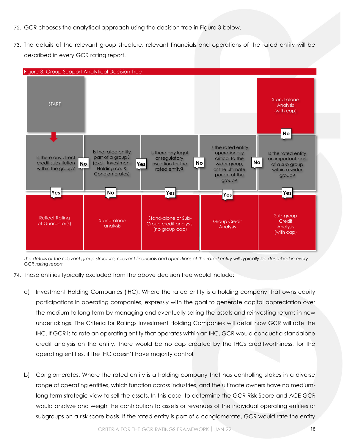- 72. GCR chooses the analytical approach using the decision tree in [Figure 3](#page-17-0) below.
- 73. The details of the relevant group structure, relevant financials and operations of the rated entity will be described in every GCR rating report.

<span id="page-17-0"></span>

*The details of the relevant group structure, relevant financials and operations of the rated entity will typically be described in every GCR rating report.*

- 74. Those entities typically excluded from the above decision tree would include:
	- a) Investment Holding Companies (IHC): Where the rated entity is a holding company that owns equity participations in operating companies, expressly with the goal to generate capital appreciation over the medium to long term by managing and eventually selling the assets and reinvesting returns in new undertakings. The Criteria for Ratings Investment Holding Companies will detail how GCR will rate the IHC. If GCR is to rate an operating entity that operates within an IHC, GCR would conduct a standalone credit analysis on the entity. There would be no cap created by the IHCs creditworthiness, for the operating entities, if the IHC doesn't have majority control.
	- b) Conglomerates: Where the rated entity is a holding company that has controlling stakes in a diverse range of operating entities, which function across industries, and the ultimate owners have no mediumlong term strategic view to sell the assets. In this case, to determine the GCR Risk Score and ACE GCR would analyze and weigh the contribution to assets or revenues of the individual operating entities or subgroups on a risk score basis. If the rated entity is part of a conglomerate, GCR would rate the entity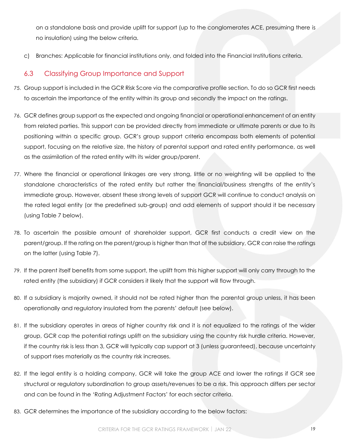on a standalone basis and provide uplift for support (up to the conglomerates ACE, presuming there is no insulation) using the below criteria.

c) Branches: Applicable for financial institutions only, and folded into the Financial Institutions criteria.

# 6.3 Classifying Group Importance and Support

- <span id="page-18-0"></span>75. Group support is included in the GCR Risk Score via the comparative profile section. To do so GCR first needs to ascertain the importance of the entity within its group and secondly the impact on the ratings.
- 76. GCR defines group support as the expected and ongoing financial or operational enhancement of an entity from related parties. This support can be provided directly from immediate or ultimate parents or due to its positioning within a specific group. GCR's group support criteria encompass both elements of potential support, focusing on the relative size, the history of parental support and rated entity performance, as well as the assimilation of the rated entity with its wider group/parent.
- 77. Where the financial or operational linkages are very strong, little or no weighting will be applied to the standalone characteristics of the rated entity but rather the financial/business strengths of the entity's immediate group. However, absent these strong levels of support GCR will continue to conduct analysis on the rated legal entity (or the predefined sub-group) and add elements of support should it be necessary (using [Table 7](#page-20-2) below).
- 78. To ascertain the possible amount of shareholder support, GCR first conducts a credit view on the parent/group. If the rating on the parent/group is higher than that of the subsidiary, GCR can raise the ratings on the latter (using [Table 7\)](#page-20-2).
- 79. If the parent itself benefits from some support, the uplift from this higher support will only carry through to the rated entity (the subsidiary) if GCR considers it likely that the support will flow through.
- 80. If a subsidiary is majority owned, it should not be rated higher than the parental group unless, it has been operationally and regulatory insulated from the parents' default (see below).
- 81. If the subsidiary operates in areas of higher country risk and it is not equalized to the ratings of the wider group, GCR cap the potential ratings uplift on the subsidiary using the country risk hurdle criteria. However, if the country risk is less than 3, GCR will typically cap support at 3 (unless guaranteed), because uncertainty of support rises materially as the country risk increases.
- 82. If the legal entity is a holding company, GCR will take the group ACE and lower the ratings if GCR see structural or regulatory subordination to group assets/revenues to be a risk. This approach differs per sector and can be found in the 'Rating Adjustment Factors' for each sector criteria.
- 83. GCR determines the importance of the subsidiary according to the below factors: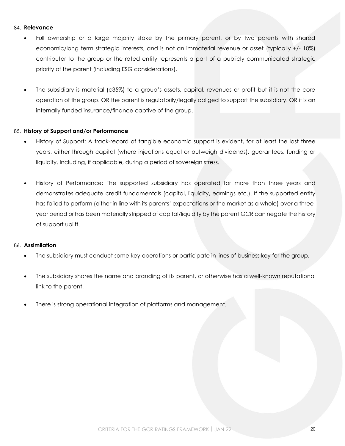#### 84. **Relevance**

- Full ownership or a large majority stake by the primary parent, or by two parents with shared economic/long term strategic interests, and is not an immaterial revenue or asset (typically +/- 10%) contributor to the group or the rated entity represents a part of a publicly communicated strategic priority of the parent (including ESG considerations).
- The subsidiary is material (c35%) to a group's assets, capital, revenues or profit but it is not the core operation of the group. OR the parent is regulatorily/legally obliged to support the subsidiary. OR it is an internally funded insurance/finance captive of the group.

#### 85. **History of Support and/or Performance**

- History of Support: A track-record of tangible economic support is evident, for at least the last three years, either through capital (where injections equal or outweigh dividends), guarantees, funding or liquidity. Including, if applicable, during a period of sovereign stress.
- History of Performance: The supported subsidiary has operated for more than three years and demonstrates adequate credit fundamentals (capital, liquidity, earnings etc.). If the supported entity has failed to perform (either in line with its parents' expectations or the market as a whole) over a threeyear period or has been materially stripped of capital/liquidity by the parent GCR can negate the history of support uplift.

#### 86. **Assimilation**

- The subsidiary must conduct some key operations or participate in lines of business key for the group.
- The subsidiary shares the name and branding of its parent, or otherwise has a well-known reputational link to the parent.
- There is strong operational integration of platforms and management.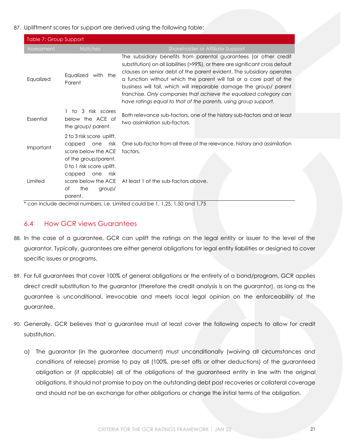#### 87. Upliftment scores for support are derived using the following table:

<span id="page-20-2"></span>

| Table 7: Group Support |                                                                                                             |                                                                                                                                                                                                                                                                                                                                                                                                                                                                                                                     |
|------------------------|-------------------------------------------------------------------------------------------------------------|---------------------------------------------------------------------------------------------------------------------------------------------------------------------------------------------------------------------------------------------------------------------------------------------------------------------------------------------------------------------------------------------------------------------------------------------------------------------------------------------------------------------|
| Assessment             | <b>Notches</b>                                                                                              | Shareholder or Affiliate Support                                                                                                                                                                                                                                                                                                                                                                                                                                                                                    |
| Equalized              | Equalized with the<br>Parent                                                                                | The subsidiary benefits from parental guarantees (or other credit<br>substitution) on all liabilities (>99%), or there are significant cross default<br>clauses on senior debt of the parent evident. The subsidiary operates<br>a function without which the parent will fail or a core part of the<br>business will fail, which will irreparable damage the group/ parent<br>franchise. Only companies that achieve the equalized category can<br>have ratings equal to that of the parents, using group support. |
| Essential              | 3 risk scores<br>to.<br>below the ACE of<br>the group/ parent.                                              | Both relevance sub-factors, one of the history sub-factors and at least<br>two assimilation sub-factors.                                                                                                                                                                                                                                                                                                                                                                                                            |
| Important              | 2 to 3 risk score uplift,<br>risk<br>capped<br>one<br>score below the ACE<br>of the group/parent.           | One sub-factor from all three of the relevance, history and assimilation<br>factors.                                                                                                                                                                                                                                                                                                                                                                                                                                |
| Limited                | 0 to 1 risk score uplift,<br>capped<br>one<br>risk<br>score below the ACE<br>the<br>Οf<br>group/<br>parent. | At least 1 of the sub-factors above.                                                                                                                                                                                                                                                                                                                                                                                                                                                                                |

\* can include decimal numbers, i.e. Limited could be 1, 1,25, 1,50 and 1,75

## <span id="page-20-1"></span>6.4 How GCR views Guarantees

- <span id="page-20-0"></span>88. In the case of a guarantee, GCR can uplift the ratings on the legal entity or issuer to the level of the guarantor. Typically, guarantees are either general obligations for legal entity liabilities or designed to cover specific issues or programs.
- 89. For full guarantees that cover 100% of general obligations or the entirety of a bond/program, GCR applies direct credit substitution to the guarantor (therefore the credit analysis is on the guarantor), as long as the guarantee is unconditional, irrevocable and meets local legal opinion on the enforceability of the guarantee.
- 90. Generally, GCR believes that a guarantee must at least cover the following aspects to allow for credit substitution.
	- a) The guarantor (in the guarantee document) must unconditionally (waiving all circumstances and conditions of release) promise to pay all (100%, pre-set offs or other deductions) of the guaranteed obligation or (if applicable) all of the obligations of the guaranteed entity in line with the original obligations. It should not promise to pay on the outstanding debt post recoveries or collateral coverage and should not be an exchange for other obligations or change the initial terms of the obligation.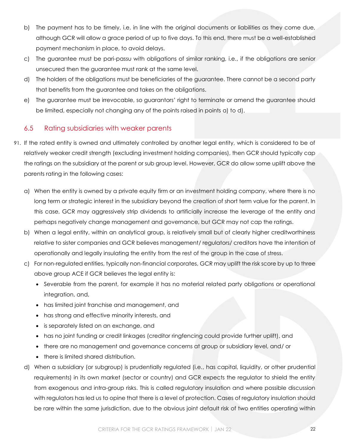- b) The payment has to be timely, i.e. in line with the original documents or liabilities as they come due, although GCR will allow a grace period of up to five days. To this end, there must be a well-established payment mechanism in place, to avoid delays.
- c) The guarantee must be pari-passu with obligations of similar ranking, i.e., if the obligations are senior unsecured then the guarantee must rank at the same level.
- d) The holders of the obligations must be beneficiaries of the guarantee. There cannot be a second party that benefits from the guarantee and takes on the obligations.
- e) The guarantee must be irrevocable, so guarantors' right to terminate or amend the guarantee should be limited, especially not changing any of the points raised in points a) to d).

# 6.5 Rating subsidiaries with weaker parents

- <span id="page-21-0"></span>91. If the rated entity is owned and ultimately controlled by another legal entity, which is considered to be of relatively weaker credit strength (excluding investment holding companies), then GCR should typically cap the ratings on the subsidiary at the parent or sub group level. However, GCR do allow some uplift above the parents rating in the following cases:
	- a) When the entity is owned by a private equity firm or an investment holding company, where there is no long term or strategic interest in the subsidiary beyond the creation of short term value for the parent. In this case, GCR may aggressively strip dividends to artificially increase the leverage of the entity and perhaps negatively change management and governance, but GCR may not cap the ratings.
	- b) When a legal entity, within an analytical group, is relatively small but of clearly higher creditworthiness relative to sister companies and GCR believes management/ regulators/ creditors have the intention of operationally and legally insulating the entity from the rest of the group in the case of stress.
	- c) For non-regulated entities, typically non-financial corporates, GCR may uplift the risk score by up to three above group ACE if GCR believes the legal entity is:
		- Severable from the parent, for example it has no material related party obligations or operational integration, and,
		- has limited joint franchise and management, and
		- has strong and effective minority interests, and
		- is separately listed on an exchange, and
		- has no joint funding or credit linkages (creditor ringfencing could provide further uplift), and
		- there are no management and governance concerns at group or subsidiary level, and/ or
		- there is limited shared distribution.
	- d) When a subsidiary (or subgroup) is prudentially regulated (i.e., has capital, liquidity, or other prudential requirements) in its own market (sector or country) and GCR expects the regulator to shield the entity from exogenous and intra-group risks. This is called regulatory insulation and where possible discussion with regulators has led us to opine that there is a level of protection. Cases of regulatory insulation should be rare within the same jurisdiction, due to the obvious joint default risk of two entities operating within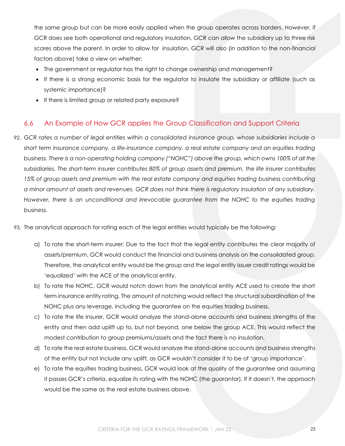the same group but can be more easily applied when the group operates across borders. However, if GCR does see both operational and regulatory insulation, GCR can allow the subsidiary up to three risk scores above the parent. In order to allow for insulation, GCR will also (in addition to the non-financial factors above) take a view on whether:

- The government or regulator has the right to change ownership and management?
- If there is a strong economic basis for the regulator to insulate the subsidiary or affiliate (such as systemic importance)?
- If there is limited group or related party exposure?

## 6.6 An Example of How GCR applies the Group Classification and Support Criteria

<span id="page-22-0"></span>92. *GCR rates a number of legal entities within a consolidated insurance group, whose subsidiaries include a short term insurance company, a life-insurance company, a real estate company and an equities trading business. There is a non-operating holding company ("NOHC") above the group, which owns 100% of all the subsidiaries. The short-term insurer contributes 80% of group assets and premium, the life insurer contributes 15% of group assets and premium with the real estate company and equities trading business contributing a minor amount of assets and revenues. GCR does not think there is regulatory insulation of any subsidiary. However, there is an unconditional and irrevocable guarantee from the NOHC to the equities trading business.* 

93. The analytical approach for rating each of the legal entities would typically be the following:

- a) To rate the short-term insurer: Due to the fact that the legal entity contributes the clear majority of assets/premium, GCR would conduct the financial and business analysis on the consolidated group. Therefore, the analytical entity would be the group and the legal entity issuer credit ratings would be 'equalized' with the ACE of the analytical entity.
- b) To rate the NOHC, GCR would notch down from the analytical entity ACE used to create the short term insurance entity rating. The amount of notching would reflect the structural subordination of the NOHC plus any leverage, including the guarantee on the equities trading business.
- c) To rate the life insurer, GCR would analyze the stand-alone accounts and business strengths of the entity and then add uplift up to, but not beyond, one below the group ACE. This would reflect the modest contribution to group premiums/assets and the fact there is no insulation.
- d) To rate the real estate business, GCR would analyze the stand-alone accounts and business strengths of the entity but not include any uplift, as GCR wouldn't consider it to be of 'group importance'.
- e) To rate the equities trading business, GCR would look at the quality of the guarantee and assuming it passes GCR's criteria, equalize its rating with the NOHC (the guarantor). If it doesn't, the approach would be the same as the real estate business above.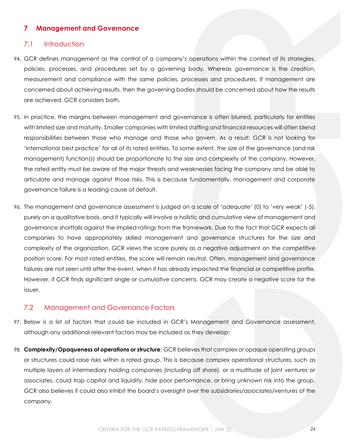### **7 Management and Governance**

### 7.1 Introduction

- <span id="page-23-1"></span><span id="page-23-0"></span>94. GCR defines management as the control of a company's operations within the context of its strategies, policies, processes, and procedures set by a governing body. Whereas governance is the creation, measurement and compliance with the same policies, processes and procedures. If management are concerned about achieving results, then the governing bodies should be concerned about how the results are achieved. GCR considers both.
- 95. In practice, the margins between management and governance is often blurred, particularly for entities with limited size and maturity. Smaller companies with limited staffing and financial resources will often blend responsibilities between those who manage and those who govern. As a result, GCR is not looking for 'international best practice' for all of its rated entities. To some extent, the size of the governance (and risk management) function(s) should be proportionate to the size and complexity of the company. However, the rated entity must be aware of the major threats and weaknesses facing the company and be able to articulate and manage against those risks. This is because fundamentally, management and corporate governance failure is a leading cause of default.
- 96. The management and governance assessment is judged on a scale of 'adequate' (0) to 'very weak' (-5), purely on a qualitative basis, and it typically will involve a holistic and cumulative view of management and governance shortfalls against the implied ratings from the framework. Due to the fact that GCR expects all companies to have appropriately skilled management and governance structures for the size and complexity of the organization, GCR views the score purely as a negative adjustment on the competitive position score. For most rated entities, the score will remain neutral. Often, management and governance failures are not seen until after the event, when it has already impacted the financial or competitive profile. However, if GCR finds significant single or cumulative concerns, GCR may create a negative score for the issuer.

### 7.2 Management and Governance Factors

- <span id="page-23-2"></span>97. Below is a list of factors that could be included in GCR's Management and Governance assessment, although any additional relevant factors may be included as they develop:
- 98. **Complexity/Opaqueness of operations or structure**: GCR believes that complex or opaque operating groups or structures could raise risks within a rated group. This is because complex operational structures, such as multiple layers of intermediary holding companies (including off shore), or a multitude of joint ventures or associates, could trap capital and liquidity, hide poor performance, or bring unknown risk into the group. GCR also believes it could also inhibit the board's oversight over the subsidiaries/associates/ventures of the company.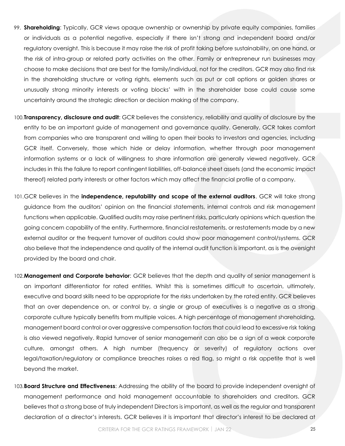- 99. **Shareholding**: Typically, GCR views opaque ownership or ownership by private equity companies, families or individuals as a potential negative, especially if there isn't strong and independent board and/or regulatory oversight. This is because it may raise the risk of profit taking before sustainability, on one hand, or the risk of intra-group or related party activities on the other. Family or entrepreneur run businesses may choose to make decisions that are best for the family/individual, not for the creditors. GCR may also find risk in the shareholding structure or voting rights, elements such as put or call options or golden shares or unusually strong minority interests or voting blocks' with in the shareholder base could cause some uncertainty around the strategic direction or decision making of the company.
- 100.**Transparency, disclosure and audit**: GCR believes the consistency, reliability and quality of disclosure by the entity to be an important guide of management and governance quality. Generally, GCR takes comfort from companies who are transparent and willing to open their books to investors and agencies, including GCR itself. Conversely, those which hide or delay information, whether through poor management information systems or a lack of willingness to share information are generally viewed negatively. GCR includes in this the failure to report contingent liabilities, off-balance sheet assets (and the economic impact thereof) related party interests or other factors which may affect the financial profile of a company.
- 101.GCR believes in the **independence, reputability and scope of the external auditors**. GCR will take strong guidance from the auditors' opinion on the financial statements, internal controls and risk management functions when applicable. Qualified audits may raise pertinent risks, particularly opinions which question the going concern capability of the entity. Furthermore, financial restatements, or restatements made by a new external auditor or the frequent turnover of auditors could show poor management control/systems. GCR also believe that the independence and quality of the internal audit function is important, as is the oversight provided by the board and chair.
- 102.**Management and Corporate behavior**: GCR believes that the depth and quality of senior management is an important differentiator for rated entities. Whilst this is sometimes difficult to ascertain, ultimately, executive and board skills need to be appropriate for the risks undertaken by the rated entity. GCR believes that an over dependence on, or control by, a single or group of executives is a negative as a strong corporate culture typically benefits from multiple voices. A high percentage of management shareholding, management board control or over aggressive compensation factors that could lead to excessive risk taking is also viewed negatively. Rapid turnover of senior management can also be a sign of a weak corporate culture, amongst others. A high number (frequency or severity) of regulatory actions over legal/taxation/regulatory or compliance breaches raises a red flag, so might a risk appetite that is well beyond the market.
- 103.**Board Structure and Effectiveness**: Addressing the ability of the board to provide independent oversight of management performance and hold management accountable to shareholders and creditors. GCR believes that a strong base of truly independent Directors is important, as well as the regular and transparent declaration of a director's interests. GCR believes it is important that director's interest to be declared at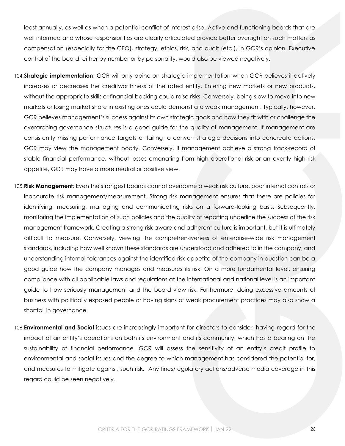least annually, as well as when a potential conflict of interest arise. Active and functioning boards that are well informed and whose responsibilities are clearly articulated provide better oversight on such matters as compensation (especially for the CEO), strategy, ethics, risk, and audit (etc.), in GCR's opinion. Executive control of the board, either by number or by personality, would also be viewed negatively.

- 104.**Strategic implementation**: GCR will only opine on strategic implementation when GCR believes it actively increases or decreases the creditworthiness of the rated entity. Entering new markets or new products, without the appropriate skills or financial backing could raise risks. Conversely, being slow to move into new markets or losing market share in existing ones could demonstrate weak management. Typically, however, GCR believes management's success against its own strategic goals and how they fit with or challenge the overarching governance structures is a good guide for the quality of management. If management are consistently missing performance targets or failing to convert strategic decisions into concreate actions, GCR may view the management poorly. Conversely, if management achieve a strong track-record of stable financial performance, without losses emanating from high operational risk or an overtly high-risk appetite, GCR may have a more neutral or positive view.
- 105.**Risk Management**: Even the strongest boards cannot overcome a weak risk culture, poor internal controls or inaccurate risk management/measurement. Strong risk management ensures that there are policies for identifying, measuring, managing and communicating risks on a forward-looking basis. Subsequently, monitoring the implementation of such policies and the quality of reporting underline the success of the risk management framework. Creating a strong risk aware and adherent culture is important, but it is ultimately difficult to measure. Conversely, viewing the comprehensiveness of enterprise-wide risk management standards, including how well known these standards are understood and adhered to in the company, and understanding internal tolerances against the identified risk appetite of the company in question can be a good guide how the company manages and measures its risk. On a more fundamental level, ensuring compliance with all applicable laws and regulations at the international and national level is an important guide to how seriously management and the board view risk. Furthermore, doing excessive amounts of business with politically exposed people or having signs of weak procurement practices may also show a shortfall in governance.
- 106.**Environmental and Social** issues are increasingly important for directors to consider, having regard for the impact of an entity's operations on both its environment and its community, which has a bearing on the sustainability of financial performance. GCR will assess the sensitivity of an entity's credit profile to environmental and social issues and the degree to which management has considered the potential for, and measures to mitigate against, such risk. Any fines/regulatory actions/adverse media coverage in this regard could be seen negatively.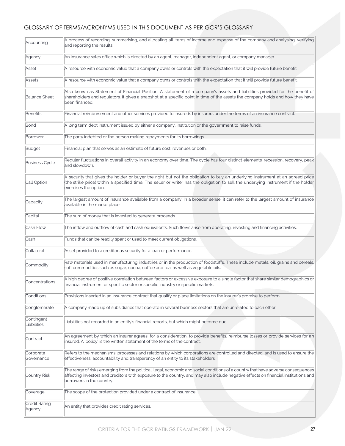## GLOSSARY OF TERMS/ACRONYMS USED IN THIS DOCUMENT AS PER GCR'S GLOSSARY

| Accounting                | A process of recording, summarising, and allocating all items of income and expense of the company and analysing, verifying<br>and reporting the results.                                                                                                                                             |
|---------------------------|-------------------------------------------------------------------------------------------------------------------------------------------------------------------------------------------------------------------------------------------------------------------------------------------------------|
| Agency                    | An insurance sales office which is directed by an agent, manager, independent agent, or company manager.                                                                                                                                                                                              |
| Asset                     | A resource with economic value that a company owns or controls with the expectation that it will provide future benefit.                                                                                                                                                                              |
| Assets                    | A resource with economic value that a company owns or controls with the expectation that it will provide future benefit.                                                                                                                                                                              |
| <b>Balance Sheet</b>      | Also known as Statement of Financial Position. A statement of a company's assets and liabilities provided for the benefit of<br>shareholders and regulators. It gives a snapshot at a specific point in time of the assets the company holds and how they have<br>been financed.                      |
| Benefits                  | Financial reimbursement and other services provided to insureds by insurers under the terms of an insurance contract.                                                                                                                                                                                 |
| Bond                      | A long term debt instrument issued by either a company, institution or the government to raise funds.                                                                                                                                                                                                 |
| Borrower                  | The party indebted or the person making repayments for its borrowings.                                                                                                                                                                                                                                |
| Budget                    | Financial plan that serves as an estimate of future cost, revenues or both.                                                                                                                                                                                                                           |
| <b>Business Cycle</b>     | Regular fluctuations in overall activity in an economy over time. The cycle has four distinct elements: recession, recovery, peak<br>and slowdown.                                                                                                                                                    |
| Call Option               | A security that gives the holder or buyer the right but not the obligation to buy an underlying instrument at an agreed price<br>(the strike price) within a specified time. The seller or writer has the obligation to sell the underlying instrument if the holder<br>exercises the option.         |
| Capacity                  | The largest amount of insurance available from a company. In a broader sense, it can refer to the largest amount of insurance<br>available in the marketplace.                                                                                                                                        |
| Capital                   | The sum of money that is invested to generate proceeds.                                                                                                                                                                                                                                               |
| Cash Flow                 | The inflow and outflow of cash and cash equivalents. Such flows arise from operating, investing and financing activities.                                                                                                                                                                             |
| Cash                      | Funds that can be readily spent or used to meet current obligations.                                                                                                                                                                                                                                  |
| Collateral                | Asset provided to a creditor as security for a loan or performance.                                                                                                                                                                                                                                   |
| Commodity                 | Raw materials used in manufacturing industries or in the production of foodstuffs. These include metals, oil, grains and cereals,<br>soft commodities such as sugar, cocoa, coffee and tea, as well as vegetable oils.                                                                                |
| Concentrations            | A high degree of positive correlation between factors or excessive exposure to a single factor that share similar demographics or<br>financial instrument or specific sector or specific industry or specific markets.                                                                                |
| Conditions                | Provisions inserted in an insurance contract that qualify or place limitations on the insurer's promise to perform.                                                                                                                                                                                   |
| Conglomerate              | A company made up of subsidiaries that operate in several business sectors that are unrelated to each other.                                                                                                                                                                                          |
| Contingent<br>Liabilities | Liabilities not recorded in an entity's financial reports, but which might become due.                                                                                                                                                                                                                |
| Contract                  | An agreement by which an insurer agrees, for a consideration, to provide benefits, reimburse losses or provide services for an<br>insured. A 'policy' is the written statement of the terms of the contract.                                                                                          |
| Corporate<br>Governance   | Refers to the mechanisms, processes and relations by which corporations are controlled and directed, and is used to ensure the<br>effectiveness, accountability and transparency of an entity to its stakeholders.                                                                                    |
| Country Risk              | The range of risks emerging from the political, legal, economic and social conditions of a country that have adverse consequences<br>affecting investors and creditors with exposure to the country, and may also include negative effects on financial institutions and<br>borrowers in the country. |
| Coverage                  | The scope of the protection provided under a contract of insurance.                                                                                                                                                                                                                                   |
| Credit Rating<br>Agency   | An entity that provides credit rating services.                                                                                                                                                                                                                                                       |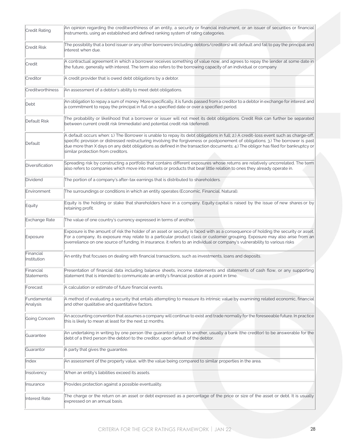| Credit Rating            | An opinion regarding the creditworthiness of an entity, a security or financial instrument, or an issuer of securities or financial<br>instruments, using an established and defined ranking system of rating categories.                                                                                                                                                                                                                            |
|--------------------------|------------------------------------------------------------------------------------------------------------------------------------------------------------------------------------------------------------------------------------------------------------------------------------------------------------------------------------------------------------------------------------------------------------------------------------------------------|
| Credit Risk              | The possibility that a bond issuer or any other borrowers (including debtors/creditors) will default and fail to pay the principal and<br>interest when due.                                                                                                                                                                                                                                                                                         |
| Credit                   | A contractual agreement in which a borrower receives something of value now, and agrees to repay the lender at some date in<br>the future, generally with interest. The term also refers to the borrowing capacity of an individual or company                                                                                                                                                                                                       |
| Creditor                 | A credit provider that is owed debt obligations by a debtor.                                                                                                                                                                                                                                                                                                                                                                                         |
| Creditworthiness         | An assessment of a debtor's ability to meet debt obligations.                                                                                                                                                                                                                                                                                                                                                                                        |
| Debt                     | An obligation to repay a sum of money. More specifically, it is funds passed from a creditor to a debtor in exchange for interest and<br>a commitment to repay the principal in full on a specified date or over a specified period.                                                                                                                                                                                                                 |
| Default Risk             | The probability or likelihood that a borrower or issuer will not meet its debt obligations. Credit Risk can further be separated<br>between current credit risk (immediate) and potential credit risk (deferred).                                                                                                                                                                                                                                    |
| Default                  | A default occurs when: 1.) The Borrower is unable to repay its debt obligations in full; 2.) A credit-loss event such as charge-off,<br>specific provision or distressed restructuring involving the forgiveness or postponement of obligations; 3.) The borrower is past<br>due more than X days on any debt obligations as defined in the transaction documents; 4.) The obligor has filed for bankruptcy or<br>similar protection from creditors. |
| Diversification          | Spreading risk by constructing a portfolio that contains different exposures whose returns are relatively uncorrelated. The term<br>also refers to companies which move into markets or products that bear little relation to ones they already operate in.                                                                                                                                                                                          |
| Dividend                 | The portion of a company's after-tax earnings that is distributed to shareholders.                                                                                                                                                                                                                                                                                                                                                                   |
| Environment              | The surroundings or conditions in which an entity operates (Economic, Financial, Natural).                                                                                                                                                                                                                                                                                                                                                           |
| Equity                   | Equity is the holding or stake that shareholders have in a company. Equity capital is raised by the issue of new shares or by<br>retaining profit.                                                                                                                                                                                                                                                                                                   |
| Exchange Rate            | The value of one country's currency expressed in terms of another.                                                                                                                                                                                                                                                                                                                                                                                   |
| Exposure                 | Exposure is the amount of risk the holder of an asset or security is faced with as a consequence of holding the security or asset.<br>For a company, its exposure may relate to a particular product class or customer grouping. Exposure may also arise from an<br>overreliance on one source of funding. In insurance, it refers to an individual or company's vulnerability to various risks                                                      |
| Financial<br>Institution | An entity that focuses on dealing with financial transactions, such as investments, loans and deposits.                                                                                                                                                                                                                                                                                                                                              |
| Financial<br>Statements  | Presentation of financial data including balance sheets, income statements and statements of cash flow, or any supporting<br>statement that is intended to communicate an entity's financial position at a point in time.                                                                                                                                                                                                                            |
| Forecast                 | A calculation or estimate of future financial events.                                                                                                                                                                                                                                                                                                                                                                                                |
| Fundamental<br>Analysis  | A method of evaluating a security that entails attempting to measure its intrinsic value by examining related economic, financial<br>and other qualitative and quantitative factors.                                                                                                                                                                                                                                                                 |
| Going Concern            | An accounting convention that assumes a company will continue to exist and trade normally for the foreseeable future. In practice<br>this is likely to mean at least for the next 12 months.                                                                                                                                                                                                                                                         |
| Guarantee                | An undertaking in writing by one person (the guarantor) given to another, usually a bank (the creditor) to be answerable for the<br>debt of a third person (the debtor) to the creditor, upon default of the debtor.                                                                                                                                                                                                                                 |
| Guarantor                | A party that gives the guarantee.                                                                                                                                                                                                                                                                                                                                                                                                                    |
| Index                    | An assessment of the property value, with the value being compared to similar properties in the area.                                                                                                                                                                                                                                                                                                                                                |
| Insolvency               | When an entity's liabilities exceed its assets.                                                                                                                                                                                                                                                                                                                                                                                                      |
| Insurance                | Provides protection against a possible eventuality.                                                                                                                                                                                                                                                                                                                                                                                                  |
| Interest Rate            | The charge or the return on an asset or debt expressed as a percentage of the price or size of the asset or debt. It is usually<br>expressed on an annual basis.                                                                                                                                                                                                                                                                                     |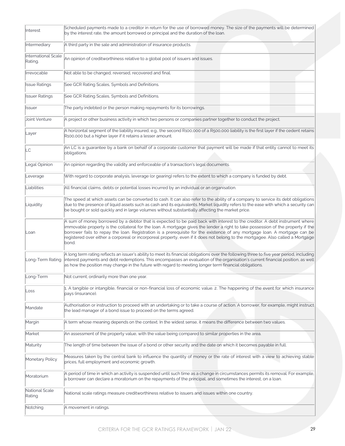| Interest                       | Scheduled payments made to a creditor in return for the use of borrowed money. The size of the payments will be determined<br>by the interest rate, the amount borrowed or principal and the duration of the loan.                                                                                                                                                                                                                                                                                                                        |
|--------------------------------|-------------------------------------------------------------------------------------------------------------------------------------------------------------------------------------------------------------------------------------------------------------------------------------------------------------------------------------------------------------------------------------------------------------------------------------------------------------------------------------------------------------------------------------------|
| Intermediary                   | A third party in the sale and administration of insurance products.                                                                                                                                                                                                                                                                                                                                                                                                                                                                       |
| International Scale<br>Rating. | An opinion of creditworthiness relative to a global pool of issuers and issues.                                                                                                                                                                                                                                                                                                                                                                                                                                                           |
| Irrevocable                    | Not able to be changed, reversed, recovered and final.                                                                                                                                                                                                                                                                                                                                                                                                                                                                                    |
| <b>Issue Ratings</b>           | See GCR Rating Scales, Symbols and Definitions.                                                                                                                                                                                                                                                                                                                                                                                                                                                                                           |
| <b>Issuer Ratings</b>          | See GCR Rating Scales, Symbols and Definitions.                                                                                                                                                                                                                                                                                                                                                                                                                                                                                           |
| Issuer                         | The party indebted or the person making repayments for its borrowings.                                                                                                                                                                                                                                                                                                                                                                                                                                                                    |
| Joint Venture                  | A project or other business activity in which two persons or companies partner together to conduct the project.                                                                                                                                                                                                                                                                                                                                                                                                                           |
| Layer                          | A horizontal segment of the liability insured, e.g., the second R100,000 of a R500,000 liability is the first layer if the cedent retains<br>R100,000 but a higher layer if it retains a lesser amount.                                                                                                                                                                                                                                                                                                                                   |
| LC                             | An LC is a quarantee by a bank on behalf of a corporate customer that payment will be made if that entity cannot to meet its<br>obligations.                                                                                                                                                                                                                                                                                                                                                                                              |
| Legal Opinion                  | An opinion regarding the validity and enforceable of a transaction's legal documents.                                                                                                                                                                                                                                                                                                                                                                                                                                                     |
| Leverage                       | With regard to corporate analysis, leverage (or gearing) refers to the extent to which a company is funded by debt.                                                                                                                                                                                                                                                                                                                                                                                                                       |
| Liabilities                    | All financial claims, debts or potential losses incurred by an individual or an organisation.                                                                                                                                                                                                                                                                                                                                                                                                                                             |
| Liquidity                      | The speed at which assets can be converted to cash. It can also refer to the ability of a company to service its debt obligations<br>due to the presence of liquid assets such as cash and its equivalents. Market liquidity refers to the ease with which a security can<br>be bought or sold quickly and in large volumes without substantially affecting the market price.                                                                                                                                                             |
| Loan                           | A sum of money borrowed by a debtor that is expected to be paid back with interest to the creditor. A debt instrument where<br>immovable property is the collateral for the loan. A mortgage gives the lender a right to take possession of the property if the<br>borrower fails to repay the loan. Registration is a prerequisite for the existence of any mortgage loan. A mortgage can be<br>registered over either a corporeal or incorporeal property, even if it does not belong to the mortgagee. Also called a Mortgage<br>bond. |
| Long-Term Rating               | A long term rating reflects an issuer's ability to meet its financial obligations over the following three to five year period, including<br>interest payments and debt redemptions. This encompasses an evaluation of the organisation's current financial position, as well<br>as how the position may change in the future with regard to meeting longer term financial obligations.                                                                                                                                                   |
| Long-Term                      | Not current; ordinarily more than one year.                                                                                                                                                                                                                                                                                                                                                                                                                                                                                               |
| Loss                           | 1. A tangible or intangible, financial or non-financial loss of economic value. 2. The happening of the event for which insurance<br>pays (insurance).                                                                                                                                                                                                                                                                                                                                                                                    |
| Mandate                        | Authorisation or instruction to proceed with an undertaking or to take a course of action. A borrower, for example, might instruct<br>the lead manager of a bond issue to proceed on the terms agreed.                                                                                                                                                                                                                                                                                                                                    |
| Margin                         | A term whose meaning depends on the context. In the widest sense, it means the difference between two values.                                                                                                                                                                                                                                                                                                                                                                                                                             |
| Market                         | An assessment of the property value, with the value being compared to similar properties in the area.                                                                                                                                                                                                                                                                                                                                                                                                                                     |
| Maturity                       | The length of time between the issue of a bond or other security and the date on which it becomes payable in full.                                                                                                                                                                                                                                                                                                                                                                                                                        |
| Monetary Policy                | Measures taken by the central bank to influence the quantity of money or the rate of interest with a view to achieving stable<br>prices, full employment and economic growth.                                                                                                                                                                                                                                                                                                                                                             |
| Moratorium                     | A period of time in which an activity is suspended until such time as a change in circumstances permits its removal. For example,<br>a borrower can declare a moratorium on the repayments of the principal, and sometimes the interest, on a loan.                                                                                                                                                                                                                                                                                       |
| National Scale<br>Rating       | National scale ratings measure creditworthiness relative to issuers and issues within one country.                                                                                                                                                                                                                                                                                                                                                                                                                                        |
| Notching                       | A movement in ratings.                                                                                                                                                                                                                                                                                                                                                                                                                                                                                                                    |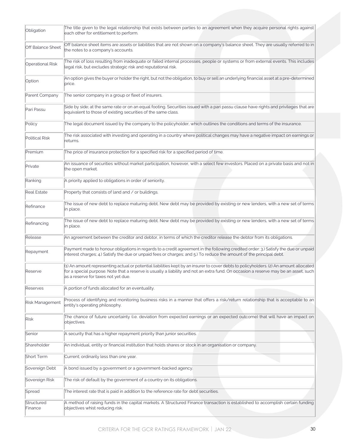| Obligation               | The title given to the legal relationship that exists between parties to an agreement when they acquire personal rights against<br>each other for entitlement to perform.                                                                                                                                              |
|--------------------------|------------------------------------------------------------------------------------------------------------------------------------------------------------------------------------------------------------------------------------------------------------------------------------------------------------------------|
| <b>Off Balance Sheet</b> | Off balance sheet items are assets or liabilities that are not shown on a company's balance sheet. They are usually referred to in<br>the notes to a company's accounts.                                                                                                                                               |
| <b>Operational Risk</b>  | The risk of loss resulting from inadequate or failed internal processes, people or systems or from external events. This includes<br>legal risk, but excludes strategic risk and reputational risk.                                                                                                                    |
| Option                   | An option gives the buyer or holder the right, but not the obligation, to buy or sell an underlying financial asset at a pre-determined<br>price.                                                                                                                                                                      |
| Parent Company           | The senior company in a group or fleet of insurers.                                                                                                                                                                                                                                                                    |
| Pari Passu               | Side by side; at the same rate or on an equal footing. Securities issued with a pari passu clause have rights and privileges that are<br>equivalent to those of existing securities of the same class.                                                                                                                 |
| Policy                   | The legal document issued by the company to the policyholder, which outlines the conditions and terms of the insurance.                                                                                                                                                                                                |
| Political Risk           | The risk associated with investing and operating in a country where political changes may have a negative impact on earnings or<br>returns.                                                                                                                                                                            |
| Premium                  | The price of insurance protection for a specified risk for a specified period of time.                                                                                                                                                                                                                                 |
| Private                  | An issuance of securities without market participation, however, with a select few investors. Placed on a private basis and not in<br>the open market.                                                                                                                                                                 |
| Ranking                  | A priority applied to obligations in order of seniority.                                                                                                                                                                                                                                                               |
| <b>Real Estate</b>       | Property that consists of land and / or buildings.                                                                                                                                                                                                                                                                     |
| Refinance                | The issue of new debt to replace maturing debt. New debt may be provided by existing or new lenders, with a new set of terms<br>in place.                                                                                                                                                                              |
| Refinancing              | The issue of new debt to replace maturing debt. New debt may be provided by existing or new lenders, with a new set of terms<br>in place.                                                                                                                                                                              |
| Release                  | An agreement between the creditor and debtor, in terms of which the creditor release the debtor from its obligations.                                                                                                                                                                                                  |
| Repayment                | Payment made to honour obligations in regards to a credit agreement in the following credited order: 3.) Satisfy the due or unpaid<br>interest charges; 4.) Satisfy the due or unpaid fees or charges; and 5.) To reduce the amount of the principal debt.                                                             |
| Reserve                  | (1) An amount representing actual or potential liabilities kept by an insurer to cover debts to policyholders. (2) An amount allocated<br>for a special purpose. Note that a reserve is usually a liability and not an extra fund. On occasion a reserve may be an asset, such<br>las a reserve for taxes not yet due. |
| Reserves                 | A portion of funds allocated for an eventuality.                                                                                                                                                                                                                                                                       |
| Risk Management          | Process of identifying and monitoring business risks in a manner that offers a risk/return relationship that is acceptable to an<br>entity's operating philosophy.                                                                                                                                                     |
| Risk                     | The chance of future uncertainty (i.e. deviation from expected earnings or an expected outcome) that will have an impact on<br>objectives.                                                                                                                                                                             |
| Senior                   | A security that has a higher repayment priority than junior securities.                                                                                                                                                                                                                                                |
| Shareholder              | An individual, entity or financial institution that holds shares or stock in an organisation or company.                                                                                                                                                                                                               |
| Short Term               | Current; ordinarily less than one year.                                                                                                                                                                                                                                                                                |
| Sovereign Debt           | A bond issued by a government or a government-backed agency.                                                                                                                                                                                                                                                           |
| Sovereign Risk           | The risk of default by the government of a country on its obligations.                                                                                                                                                                                                                                                 |
| Spread                   | The interest rate that is paid in addition to the reference rate for debt securities.                                                                                                                                                                                                                                  |
| Structured<br>Finance    | A method of raising funds in the capital markets. A Structured Finance transaction is established to accomplish certain funding<br>objectives whist reducing risk.                                                                                                                                                     |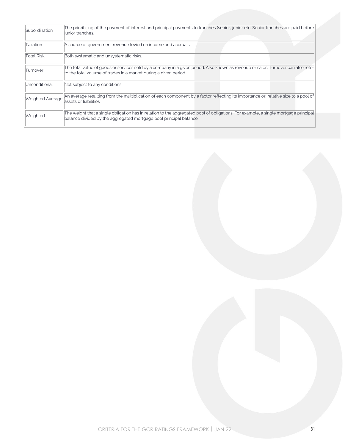| Subordination     | The prioritising of the payment of interest and principal payments to tranches (senior, junior etc. Senior tranches are paid before<br>liunior tranches.                                                  |
|-------------------|-----------------------------------------------------------------------------------------------------------------------------------------------------------------------------------------------------------|
| Taxation          | A source of government revenue levied on income and accruals.                                                                                                                                             |
| <b>Total Risk</b> | Both systematic and unsystematic risks.                                                                                                                                                                   |
| Turnover          | The total value of goods or services sold by a company in a given period. Also known as revenue or sales. Turnover can also refer<br>to the total volume of trades in a market during a given period.     |
| Unconditional     | Not subject to any conditions.                                                                                                                                                                            |
| Weighted Average  | An average resulting from the multiplication of each component by a factor reflecting its importance or, relative size to a pool of<br>lassets or liabilities.                                            |
| Weighted          | The weight that a single obligation has in relation to the aggregated pool of obligations. For example, a single mortgage principal<br>balance divided by the aggregated mortgage pool principal balance. |